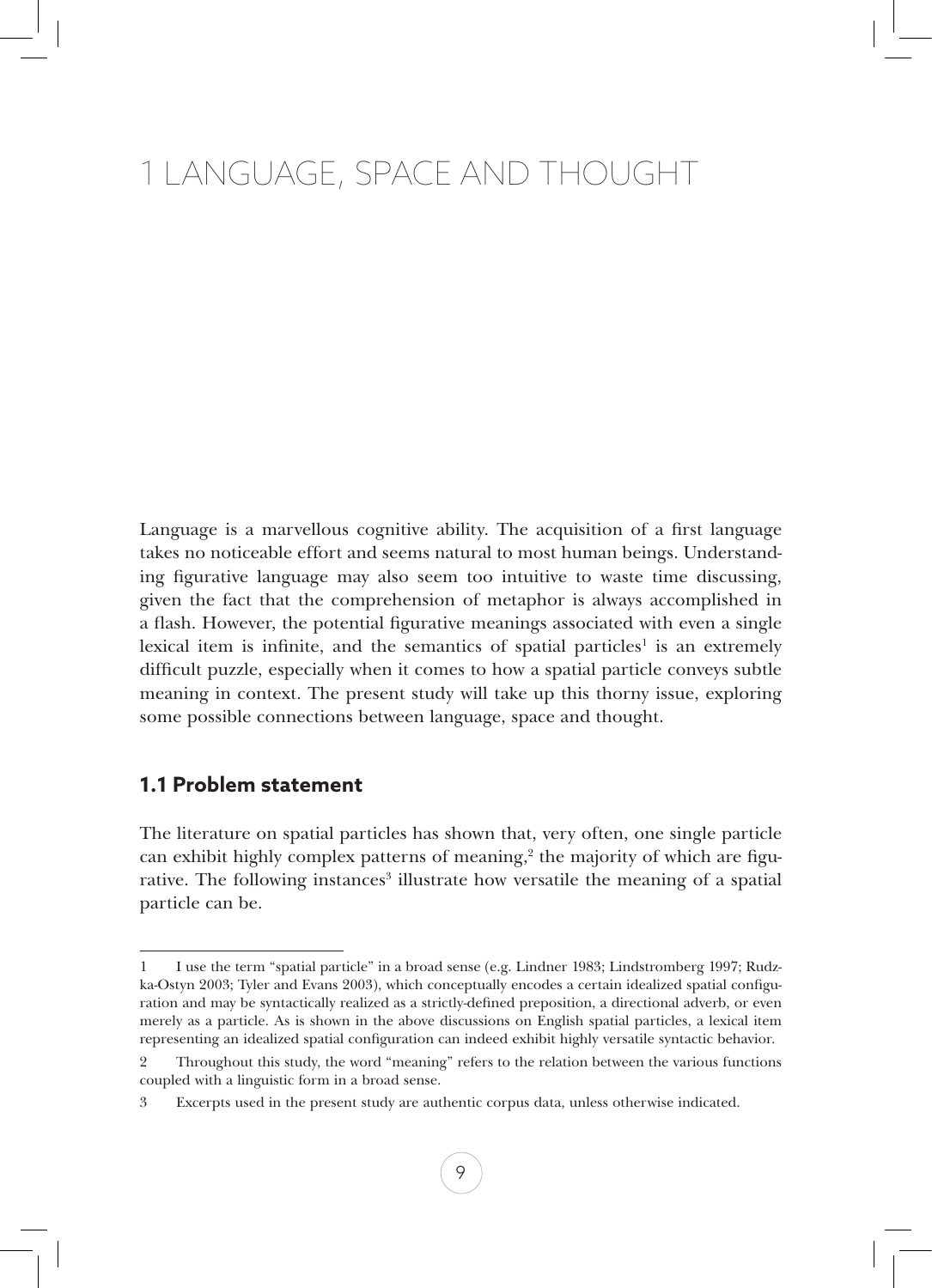# 1 Language, Space and Thought

Language is a marvellous cognitive ability. The acquisition of a first language takes no noticeable effort and seems natural to most human beings. Understanding figurative language may also seem too intuitive to waste time discussing, given the fact that the comprehension of metaphor is always accomplished in a flash. However, the potential figurative meanings associated with even a single lexical item is infinite, and the semantics of spatial particles<sup>1</sup> is an extremely difficult puzzle, especially when it comes to how a spatial particle conveys subtle meaning in context. The present study will take up this thorny issue, exploring some possible connections between language, space and thought.

# **1.1 Problem statement**

The literature on spatial particles has shown that, very often, one single particle can exhibit highly complex patterns of meaning, $2$  the majority of which are figurative. The following instances<sup>3</sup> illustrate how versatile the meaning of a spatial particle can be.

<sup>1</sup> I use the term "spatial particle" in a broad sense (e.g. Lindner 1983; Lindstromberg 1997; Rudzka-Ostyn 2003; Tyler and Evans 2003), which conceptually encodes a certain idealized spatial configuration and may be syntactically realized as a strictly-defined preposition, a directional adverb, or even merely as a particle. As is shown in the above discussions on English spatial particles, a lexical item representing an idealized spatial configuration can indeed exhibit highly versatile syntactic behavior.

<sup>2</sup> Throughout this study, the word "meaning" refers to the relation between the various functions coupled with a linguistic form in a broad sense.

<sup>3</sup> Excerpts used in the present study are authentic corpus data, unless otherwise indicated.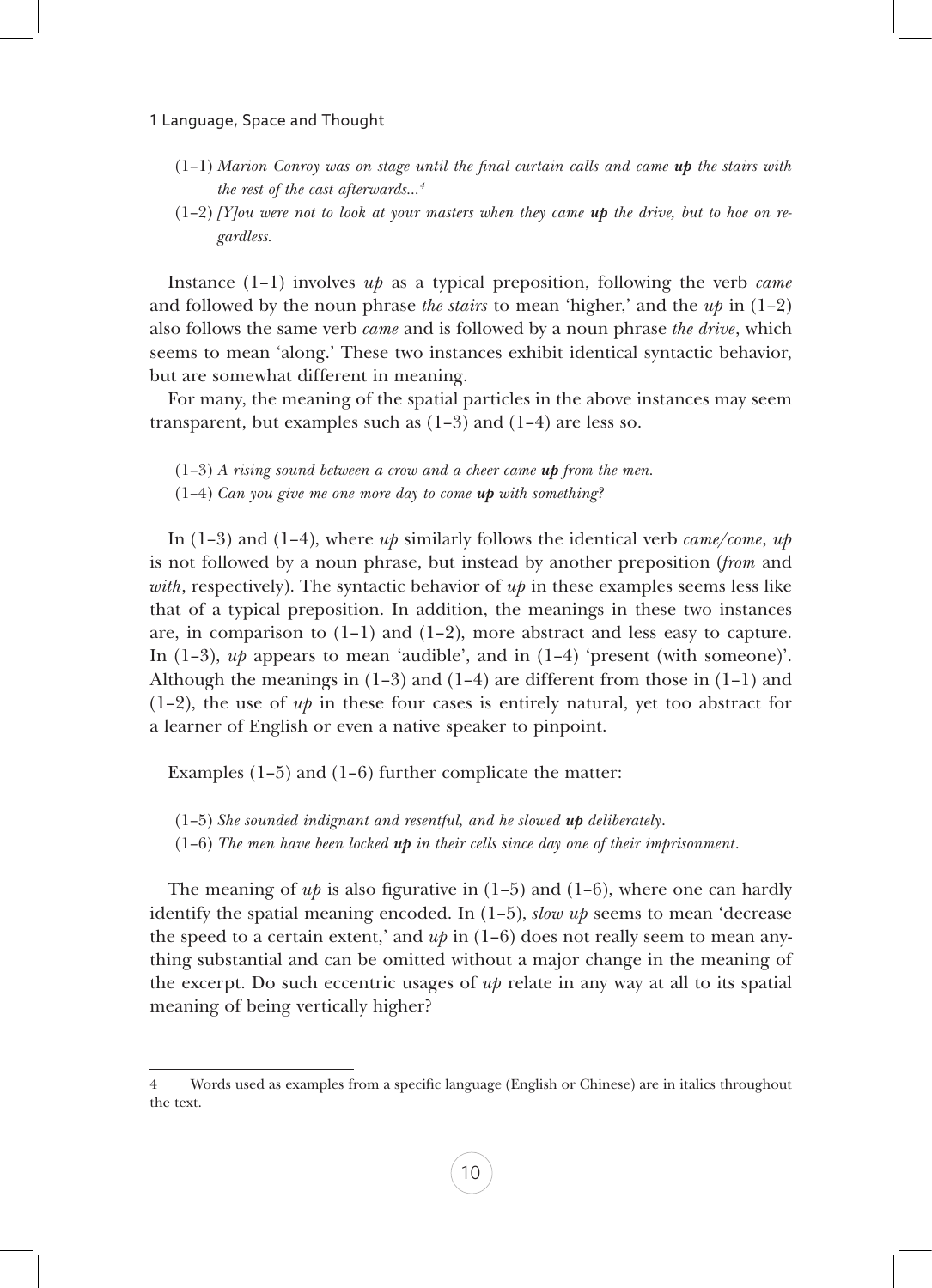#### 1 Language, Space and Thought

- (1–1) *Marion Conroy was on stage until the final curtain calls and came up the stairs with the rest of the cast afterwards…4*
- $(1-2)$  *[Y]ou were not to look at your masters when they came up the drive, but to hoe on regardless.*

Instance (1–1) involves *up* as a typical preposition, following the verb *came* and followed by the noun phrase *the stairs* to mean 'higher,' and the *up* in (1–2) also follows the same verb *came* and is followed by a noun phrase *the drive*, which seems to mean 'along.' These two instances exhibit identical syntactic behavior, but are somewhat different in meaning.

For many, the meaning of the spatial particles in the above instances may seem transparent, but examples such as  $(1-3)$  and  $(1-4)$  are less so.

(1–3) *A rising sound between a crow and a cheer came up from the men.*

(1–4) *Can you give me one more day to come up with something?*

In (1–3) and (1–4), where *up* similarly follows the identical verb *came/come*, *up* is not followed by a noun phrase, but instead by another preposition (*from* and *with*, respectively). The syntactic behavior of *up* in these examples seems less like that of a typical preposition. In addition, the meanings in these two instances are, in comparison to  $(1-1)$  and  $(1-2)$ , more abstract and less easy to capture. In  $(1-3)$ ,  $up$  appears to mean 'audible', and in  $(1-4)$  'present (with someone)'. Although the meanings in  $(1-3)$  and  $(1-4)$  are different from those in  $(1-1)$  and  $(1-2)$ , the use of *up* in these four cases is entirely natural, yet too abstract for a learner of English or even a native speaker to pinpoint.

Examples (1–5) and (1–6) further complicate the matter:

(1–5) *She sounded indignant and resentful, and he slowed up deliberately*.

(1–6) *The men have been locked up in their cells since day one of their imprisonment*.

The meaning of  $up$  is also figurative in  $(1-5)$  and  $(1-6)$ , where one can hardly identify the spatial meaning encoded. In  $(1-5)$ , *slow up* seems to mean 'decrease the speed to a certain extent,' and  $up$  in  $(1-6)$  does not really seem to mean anything substantial and can be omitted without a major change in the meaning of the excerpt. Do such eccentric usages of *up* relate in any way at all to its spatial meaning of being vertically higher?

<sup>4</sup> Words used as examples from a specific language (English or Chinese) are in italics throughout the text.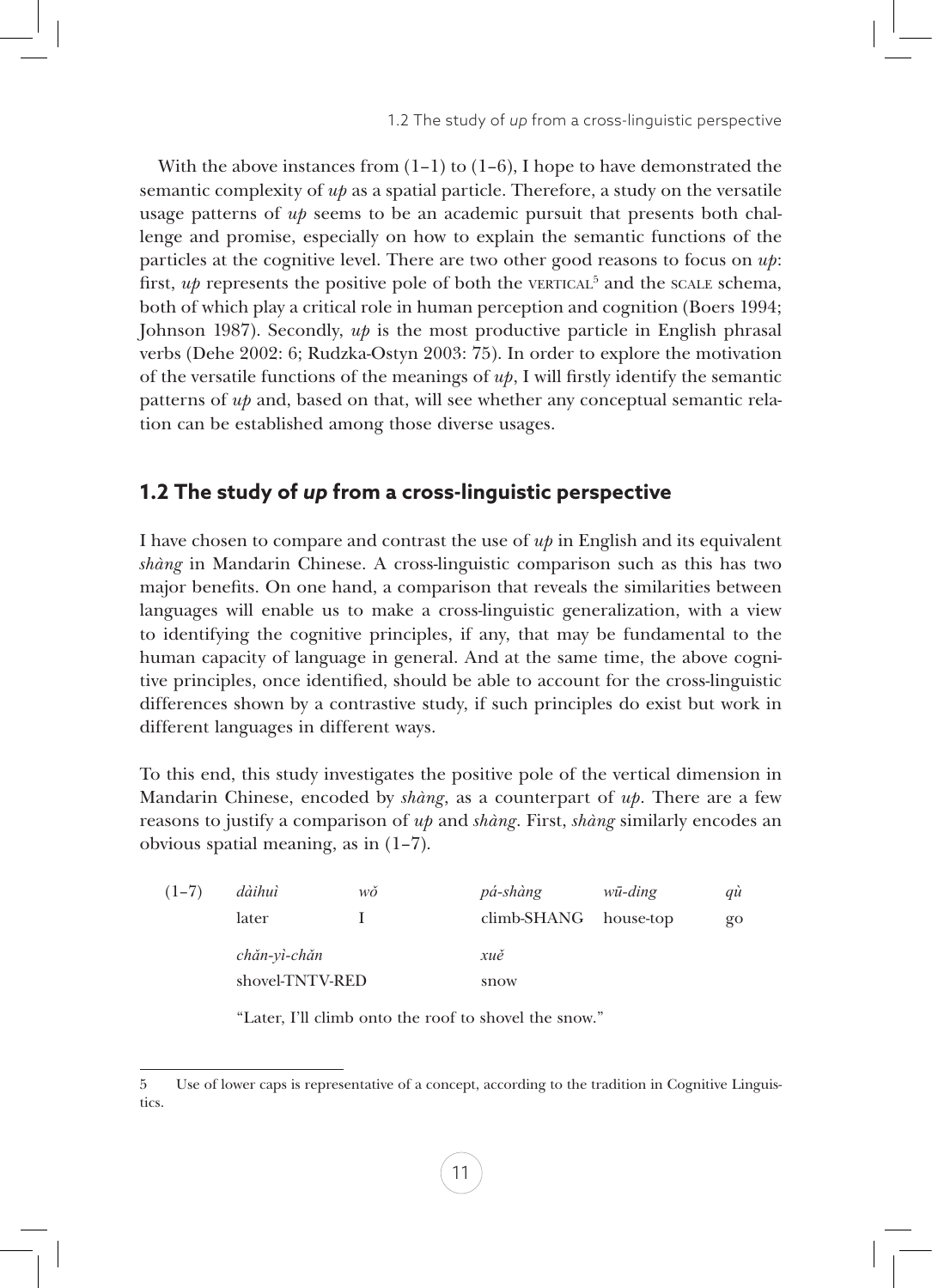With the above instances from  $(1-1)$  to  $(1-6)$ , I hope to have demonstrated the semantic complexity of  $u\dot{p}$  as a spatial particle. Therefore, a study on the versatile usage patterns of *up* seems to be an academic pursuit that presents both challenge and promise, especially on how to explain the semantic functions of the particles at the cognitive level. There are two other good reasons to focus on *up*: first,  $up$  represents the positive pole of both the vERTICAL<sup>5</sup> and the sCALE schema, both of which play a critical role in human perception and cognition (Boers 1994; Johnson 1987). Secondly,  $u\phi$  is the most productive particle in English phrasal verbs (Dehe 2002: 6; Rudzka-Ostyn 2003: 75). In order to explore the motivation of the versatile functions of the meanings of *up*, I will firstly identify the semantic patterns of *up* and, based on that, will see whether any conceptual semantic relation can be established among those diverse usages.

# **1.2 The study of** *up* **from a cross-linguistic perspective**

I have chosen to compare and contrast the use of *up* in English and its equivalent *shàng* in Mandarin Chinese. A cross-linguistic comparison such as this has two major benefits. On one hand, a comparison that reveals the similarities between languages will enable us to make a cross-linguistic generalization, with a view to identifying the cognitive principles, if any, that may be fundamental to the human capacity of language in general. And at the same time, the above cognitive principles, once identified, should be able to account for the cross-linguistic differences shown by a contrastive study, if such principles do exist but work in different languages in different ways.

To this end, this study investigates the positive pole of the vertical dimension in Mandarin Chinese, encoded by *shàng*, as a counterpart of *up*. There are a few reasons to justify a comparison of *up* and *shàng*. First, *shàng* similarly encodes an obvious spatial meaning, as in (1–7).

| $(1-7)$ | dàihuì          | wŏ | pá-shàng              | wū-ding | qù      |  |
|---------|-----------------|----|-----------------------|---------|---------|--|
|         | later           |    | climb-SHANG house-top |         | $g_{O}$ |  |
|         | chăn-yì-chăn    |    | xuě                   |         |         |  |
|         | shovel-TNTV-RED |    | snow                  |         |         |  |

"Later, I'll climb onto the roof to shovel the snow."

<sup>5</sup> Use of lower caps is representative of a concept, according to the tradition in Cognitive Linguistics.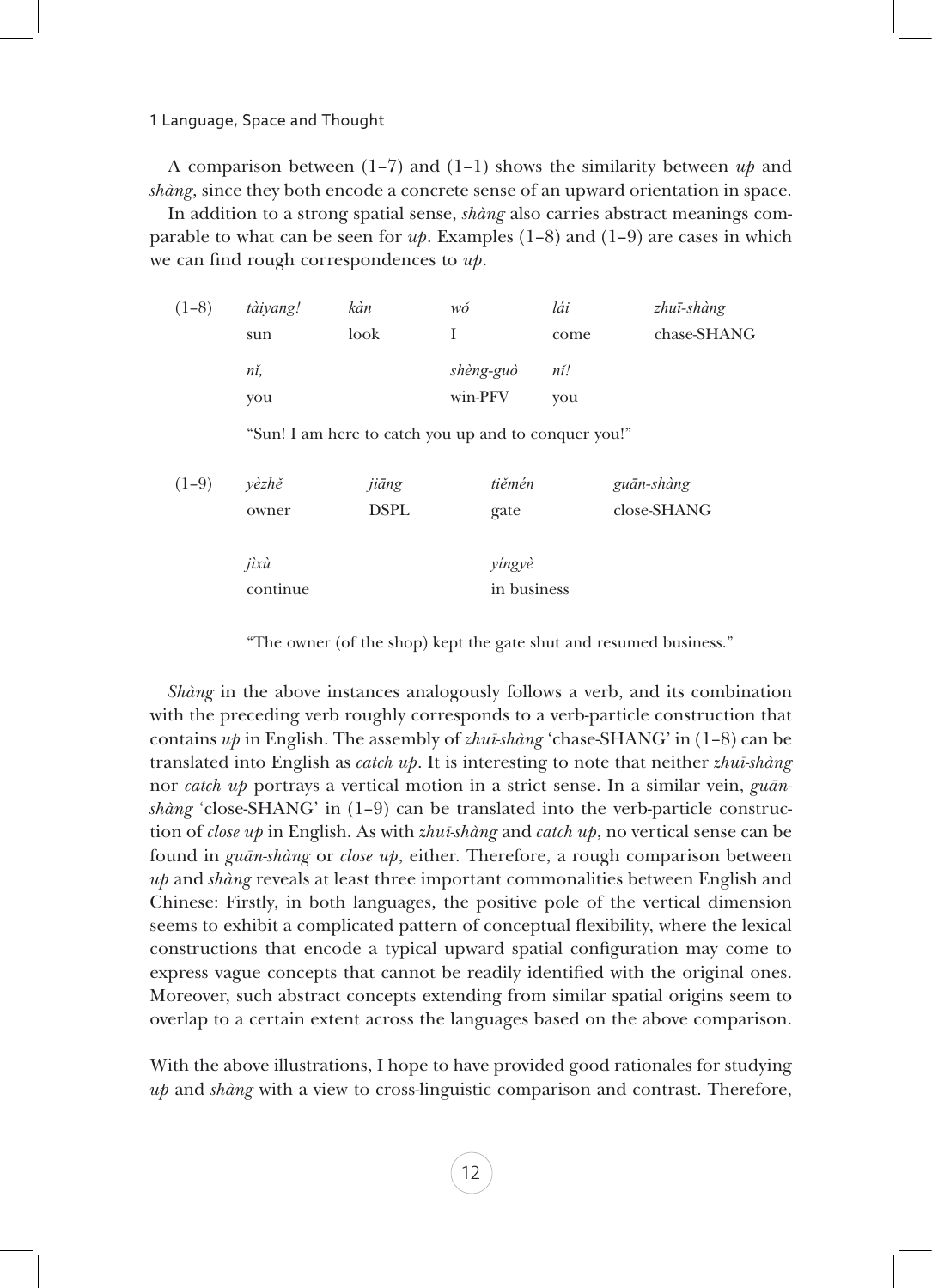1 Language, Space and Thought

A comparison between (1–7) and (1–1) shows the similarity between *up* and *shàng*, since they both encode a concrete sense of an upward orientation in space.

In addition to a strong spatial sense, *shàng* also carries abstract meanings comparable to what can be seen for  $u\psi$ . Examples  $(1-8)$  and  $(1-9)$  are cases in which we can find rough correspondences to *up*.

| $(1-8)$ | tàiyang! | kàn  | wŏ        | lái  | zhuī-shàng  |
|---------|----------|------|-----------|------|-------------|
|         | sun      | look |           | come | chase-SHANG |
|         | nĭ,      |      | shèng-guò | nĭ!  |             |
|         | vou      |      | win-PFV   | vou  |             |

"Sun! I am here to catch you up and to conquer you!"

| $(1-9)$ | vèzhě    | jiāng       | tiěmén      | guān-shàng  |  |
|---------|----------|-------------|-------------|-------------|--|
|         | owner    | <b>DSPL</b> | gate        | close-SHANG |  |
|         |          |             |             |             |  |
|         | jixù     |             | yingyè      |             |  |
|         | continue |             | in business |             |  |

"The owner (of the shop) kept the gate shut and resumed business."

*Shàng* in the above instances analogously follows a verb, and its combination with the preceding verb roughly corresponds to a verb-particle construction that contains *up* in English. The assembly of *zhuī-shàng* 'chase-SHANG' in (1–8) can be translated into English as *catch up*. It is interesting to note that neither *zhuī-shàng* nor *catch up* portrays a vertical motion in a strict sense. In a similar vein, *guānshàng* 'close-SHANG' in (1–9) can be translated into the verb-particle construction of *close up* in English. As with *zhuī-shàng* and *catch up*, no vertical sense can be found in *guān-shàng* or *close up*, either. Therefore, a rough comparison between *up* and *shàng* reveals at least three important commonalities between English and Chinese: Firstly, in both languages, the positive pole of the vertical dimension seems to exhibit a complicated pattern of conceptual flexibility, where the lexical constructions that encode a typical upward spatial configuration may come to express vague concepts that cannot be readily identified with the original ones. Moreover, such abstract concepts extending from similar spatial origins seem to overlap to a certain extent across the languages based on the above comparison.

With the above illustrations, I hope to have provided good rationales for studying *up* and *shàng* with a view to cross-linguistic comparison and contrast. Therefore,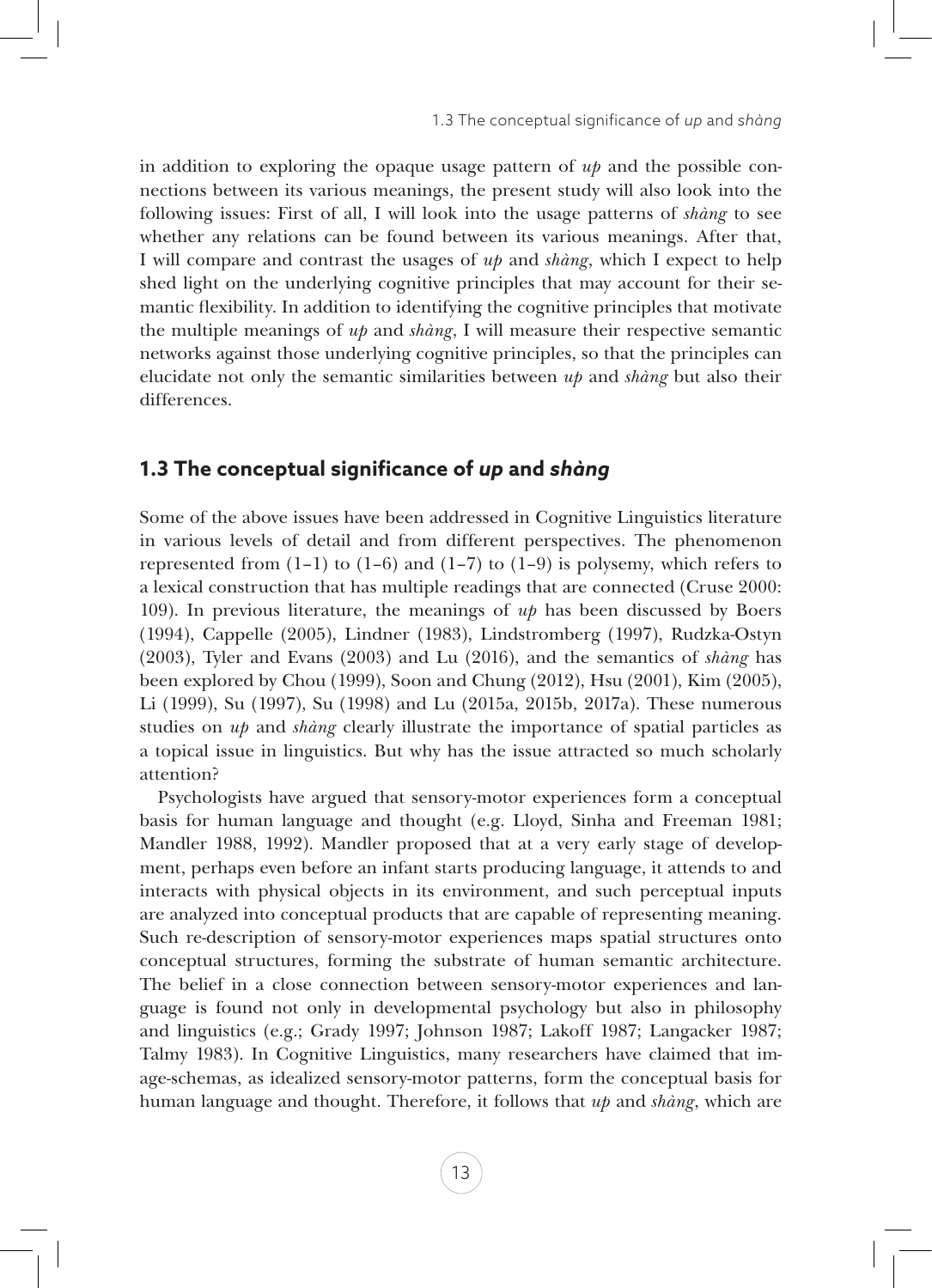in addition to exploring the opaque usage pattern of *up* and the possible connections between its various meanings, the present study will also look into the following issues: First of all, I will look into the usage patterns of *shàng* to see whether any relations can be found between its various meanings. After that, I will compare and contrast the usages of *up* and *shàng*, which I expect to help shed light on the underlying cognitive principles that may account for their semantic flexibility. In addition to identifying the cognitive principles that motivate the multiple meanings of *up* and *shàng*, I will measure their respective semantic networks against those underlying cognitive principles, so that the principles can elucidate not only the semantic similarities between *up* and *shàng* but also their differences.

# **1.3 The conceptual significance of** *up* **and** *shàng*

Some of the above issues have been addressed in Cognitive Linguistics literature in various levels of detail and from different perspectives. The phenomenon represented from  $(1-1)$  to  $(1-6)$  and  $(1-7)$  to  $(1-9)$  is polysemy, which refers to a lexical construction that has multiple readings that are connected (Cruse 2000: 109). In previous literature, the meanings of *up* has been discussed by Boers (1994), Cappelle (2005), Lindner (1983), Lindstromberg (1997), Rudzka-Ostyn (2003), Tyler and Evans (2003) and Lu (2016), and the semantics of *shàng* has been explored by Chou (1999), Soon and Chung (2012), Hsu (2001), Kim (2005), Li (1999), Su (1997), Su (1998) and Lu (2015a, 2015b, 2017a). These numerous studies on *up* and *shàng* clearly illustrate the importance of spatial particles as a topical issue in linguistics. But why has the issue attracted so much scholarly attention?

Psychologists have argued that sensory-motor experiences form a conceptual basis for human language and thought (e.g. Lloyd, Sinha and Freeman 1981; Mandler 1988, 1992). Mandler proposed that at a very early stage of development, perhaps even before an infant starts producing language, it attends to and interacts with physical objects in its environment, and such perceptual inputs are analyzed into conceptual products that are capable of representing meaning. Such re-description of sensory-motor experiences maps spatial structures onto conceptual structures, forming the substrate of human semantic architecture. The belief in a close connection between sensory-motor experiences and language is found not only in developmental psychology but also in philosophy and linguistics (e.g.; Grady 1997; Johnson 1987; Lakoff 1987; Langacker 1987; Talmy 1983). In Cognitive Linguistics, many researchers have claimed that image-schemas, as idealized sensory-motor patterns, form the conceptual basis for human language and thought. Therefore, it follows that *up* and *shàng*, which are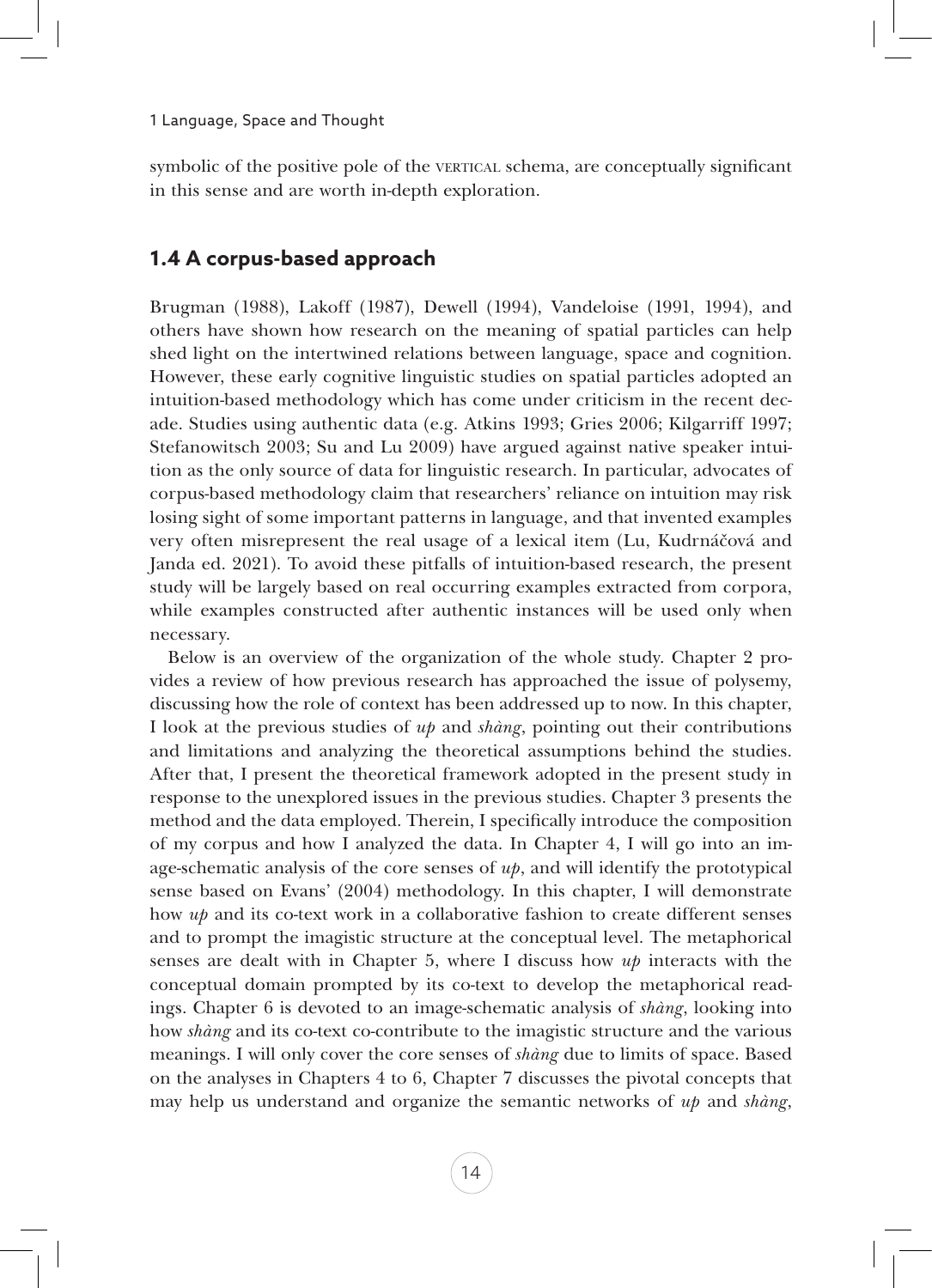symbolic of the positive pole of the vertical schema, are conceptually significant in this sense and are worth in-depth exploration.

## **1.4 A corpus-based approach**

Brugman (1988), Lakoff (1987), Dewell (1994), Vandeloise (1991, 1994), and others have shown how research on the meaning of spatial particles can help shed light on the intertwined relations between language, space and cognition. However, these early cognitive linguistic studies on spatial particles adopted an intuition-based methodology which has come under criticism in the recent decade. Studies using authentic data (e.g. Atkins 1993; Gries 2006; Kilgarriff 1997; Stefanowitsch 2003; Su and Lu 2009) have argued against native speaker intuition as the only source of data for linguistic research. In particular, advocates of corpus-based methodology claim that researchers' reliance on intuition may risk losing sight of some important patterns in language, and that invented examples very often misrepresent the real usage of a lexical item (Lu, Kudrnáčová and Janda ed. 2021). To avoid these pitfalls of intuition-based research, the present study will be largely based on real occurring examples extracted from corpora, while examples constructed after authentic instances will be used only when necessary.

Below is an overview of the organization of the whole study. Chapter 2 provides a review of how previous research has approached the issue of polysemy, discussing how the role of context has been addressed up to now. In this chapter, I look at the previous studies of *up* and *shàng*, pointing out their contributions and limitations and analyzing the theoretical assumptions behind the studies. After that, I present the theoretical framework adopted in the present study in response to the unexplored issues in the previous studies. Chapter 3 presents the method and the data employed. Therein, I specifically introduce the composition of my corpus and how I analyzed the data. In Chapter 4, I will go into an image-schematic analysis of the core senses of *up*, and will identify the prototypical sense based on Evans' (2004) methodology. In this chapter, I will demonstrate how *up* and its co-text work in a collaborative fashion to create different senses and to prompt the imagistic structure at the conceptual level. The metaphorical senses are dealt with in Chapter 5, where I discuss how *up* interacts with the conceptual domain prompted by its co-text to develop the metaphorical readings. Chapter 6 is devoted to an image-schematic analysis of *shàng*, looking into how *shàng* and its co-text co-contribute to the imagistic structure and the various meanings. I will only cover the core senses of *shàng* due to limits of space. Based on the analyses in Chapters 4 to 6, Chapter 7 discusses the pivotal concepts that may help us understand and organize the semantic networks of *up* and *shàng*,